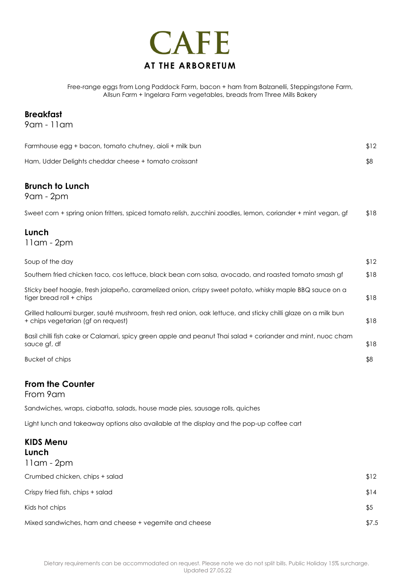

Free-range eggs from Long Paddock Farm, bacon + ham from Balzanelli, Steppingstone Farm, Allsun Farm + Ingelara Farm vegetables, breads from Three Mills Bakery

### **Breakfast**

9am - 11am

| Farmhouse egg + bacon, tomato chutney, aioli + milk bun | \$12 |
|---------------------------------------------------------|------|
| Ham, Udder Delights cheddar cheese + tomato croissant   |      |

## **Brunch to Lunch**

9am - 2pm

| Sweet corn + spring onion fritters, spiced tomato relish, zucchini zoodles, lemon, coriander + mint vegan, gf | \$18 |
|---------------------------------------------------------------------------------------------------------------|------|
|                                                                                                               |      |
|                                                                                                               |      |

## **Lunch**

11am - 2pm

| Soup of the day                                                                                                                                    | \$12 |
|----------------------------------------------------------------------------------------------------------------------------------------------------|------|
| Southern fried chicken taco, cos lettuce, black bean corn salsa, avocado, and roasted tomato smash gf                                              | \$18 |
| Sticky beef hoagie, fresh jalapeño, caramelized onion, crispy sweet potato, whisky maple BBQ sauce on a<br>tiger bread roll + chips                | \$18 |
| Grilled halloumi burger, sauté mushroom, fresh red onion, oak lettuce, and sticky chilli glaze on a milk bun<br>+ chips vegetarian (gf on request) | \$18 |
| Basil chilli fish cake or Calamari, spicy green apple and peanut Thai salad + coriander and mint, nuoc cham<br>sauce af, df                        | \$18 |
| Bucket of chips                                                                                                                                    | \$8  |

# **From the Counter**

From 9am

Sandwiches, wraps, ciabatta, salads, house made pies, sausage rolls, quiches

Light lunch and takeaway options also available at the display and the pop-up coffee cart

| <b>KIDS Menu</b><br>Lunch<br>11am - 2pm                |       |
|--------------------------------------------------------|-------|
| Crumbed chicken, chips + salad                         | \$12  |
| Crispy fried fish, chips + salad                       | \$14  |
| Kids hot chips                                         | \$5   |
| Mixed sandwiches, ham and cheese + vegemite and cheese | \$7.5 |